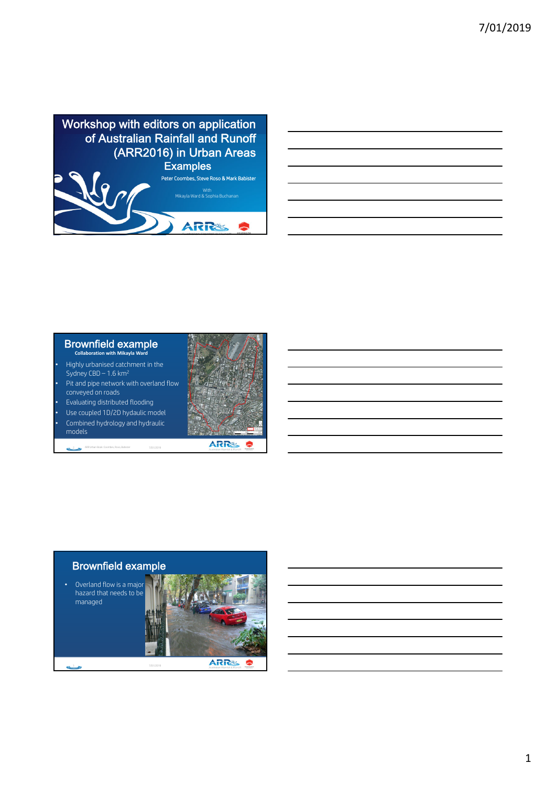

| $\overline{\phantom{a}}$                                                                                            |  |                                   |
|---------------------------------------------------------------------------------------------------------------------|--|-----------------------------------|
|                                                                                                                     |  |                                   |
|                                                                                                                     |  |                                   |
|                                                                                                                     |  |                                   |
| <u> 1988 - Johann Stoff, amerikansk fotballstruktur (d. 1988)</u>                                                   |  |                                   |
|                                                                                                                     |  |                                   |
| and the contract of the contract of the contract of the contract of the contract of the contract of the contract of |  | and the control of the control of |
|                                                                                                                     |  |                                   |
|                                                                                                                     |  |                                   |
|                                                                                                                     |  |                                   |
| and the contract of the contract of the contract of the contract of the contract of the contract of the contract of |  |                                   |
|                                                                                                                     |  |                                   |

#### Brownfield example **Collaboration with Mikayla Ward**

- Highly urbanised catchment in the Sydney  $CBD - 1.6 \text{ km}^2$
- Pit and pipe network with overland flow conveyed on roads
- Evaluating distributed flooding • Use coupled 1D/2D hydaulic model • Combined hydrology and hydraulic

models

 $\mathbb{C}^3$ 



2 ARR Urban Book: Coombes, Roso, Babister 7/01/2019

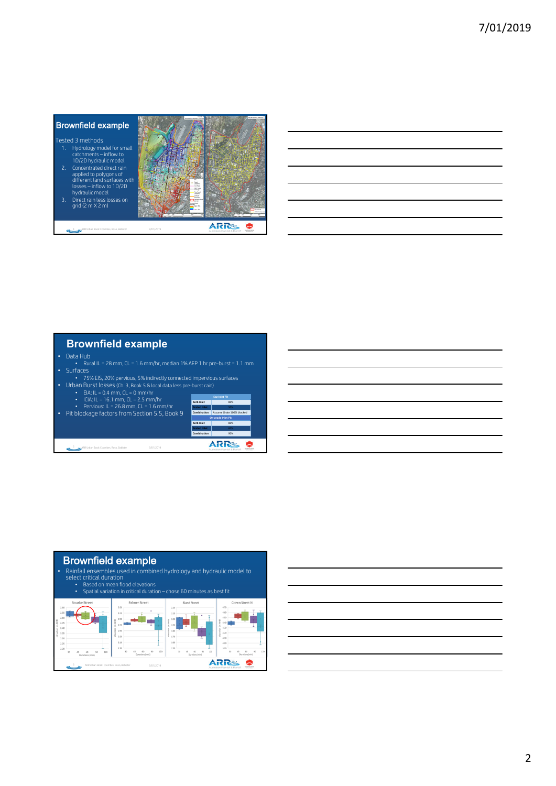| 1.       | <b>Brownfield example</b><br>Tested 3 methods<br>Hydrology model for small<br>catchments - inflow to<br>1D/2D hydraulic model                                                         |           | <b>INVESTIGATION</b>                                                         |
|----------|---------------------------------------------------------------------------------------------------------------------------------------------------------------------------------------|-----------|------------------------------------------------------------------------------|
| 2.<br>3. | Concentrated direct rain<br>applied to polygons of<br>different land surfaces with<br>$losses - inflow to 1D/2D$<br>hydraulic model<br>Direct rain less losses on<br>grid (2 m X 2 m) |           | <b>COLOR</b><br><b>Carl Corporation</b><br><b>Location</b><br><b>Service</b> |
|          | (R Urban Book: Coombes, Roso, Babister                                                                                                                                                | 7/01/2019 |                                                                              |

# **Brownfield example**

- Data Hub
- Rural IL = 28 mm, CL = 1.6 mm/hr, median 1% AEP 1 hr pre-burst = 1.1 mm Surfaces 75% EIS, 20% pervious, 5% indirectly connected impervious surfaces Urban Burst losses (Ch. 3, Book 5 & local data less pre-burst rain)
- - -
- 
- EIA: IL = 0.4 mm, CL = 0 mm/hr ICIA: IL = 16.1 mm, CL = 2.5 mm/hr Pervious: IL = 26.8 mm, CL = 1.6 mm/hr Pit blockage factors from Section 5.5, Book 9

5 ARR Urban Book: Coombes, Roso, Babister 7/01/2019

| k 9 | Sag Inlet Pit       |                           |  |  |
|-----|---------------------|---------------------------|--|--|
|     | <b>Kerb Inlet</b>   | 80%                       |  |  |
|     | <b>Grated Inlet</b> | sms                       |  |  |
|     | Combination         | Assume Grate 100% blocked |  |  |
|     | On grade Inlet Pit  |                           |  |  |
|     | <b>Kerb Inlet</b>   | 80%                       |  |  |
|     | <b>Grated Inlet</b> | 60%                       |  |  |
|     | Combination         | 90%                       |  |  |



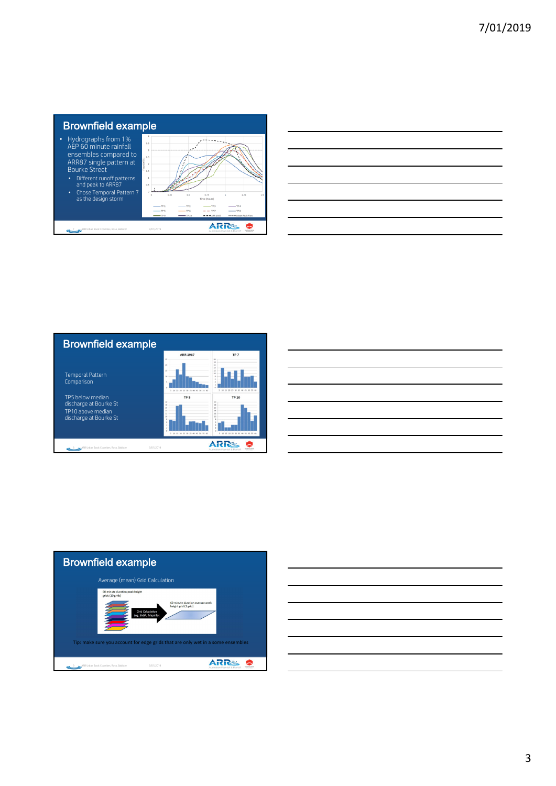

| _____                                                                                                                    |      |
|--------------------------------------------------------------------------------------------------------------------------|------|
| ____                                                                                                                     |      |
|                                                                                                                          |      |
| <u>. Kabupatèn Bandaran Suma Bandaran Indonesia di Indonesia. Indonesia di Indonesia Bandaran Indonesia di Indonesia</u> |      |
|                                                                                                                          | ____ |
| <u> 1980 - Johann Barnett, fransk politiker (d. 1980)</u>                                                                |      |





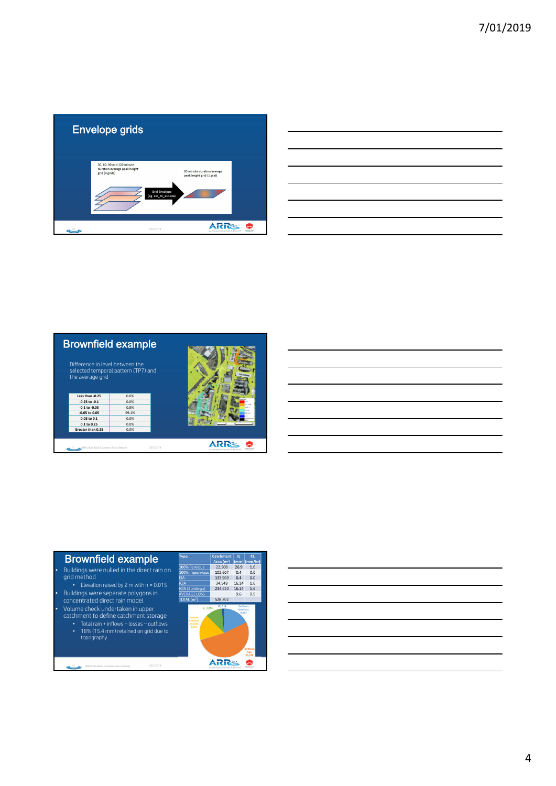

| <u> Alexandro de la contrada de la contrada de la contrada de la contrada de la contrada de la contrada de la co</u> |  |  |  |
|----------------------------------------------------------------------------------------------------------------------|--|--|--|
| <u> Alexandro de la contrada de la contrada de la contrada de la contrada de la contrada de la contrada de la co</u> |  |  |  |
|                                                                                                                      |  |  |  |
|                                                                                                                      |  |  |  |
|                                                                                                                      |  |  |  |



### Brownfield example

• Buildings were nulled in the direct rain on grid method • Elevation raised by 2 m with n = 0.015

• Buildings were separate polygons in concentrated direct rain model

• Volume check undertaken in upper catchment to define catchment storage • Total rain + inflows – losses – outflows • 18% (15.4 mm) retained on grid due to

topography

12 ARR Urban Book: Coombes, Roso, Babister 7/01/2019

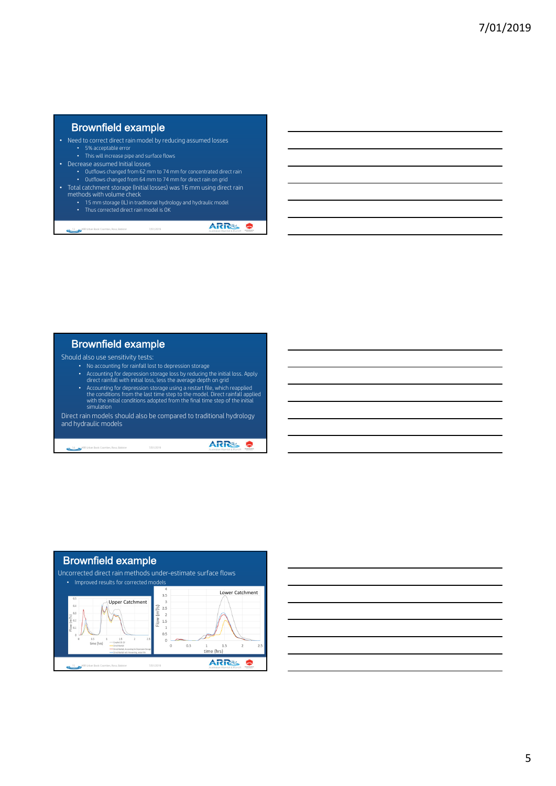### Brownfield example

- Need to correct direct rain model by reducing assumed losses
	- 5% acceptable error
	- This will increase pipe and surface flows
- Decrease assumed Initial losses
- Outflows changed from 62 mm to 74 mm for concentrated direct rain Outflows changed from 64 mm to 74 mm for direct rain on grid
- Total catchment storage (Initial losses) was 16 mm using direct rain methods with volume check
	-
	- 15 mm storage (IL) in traditional hydrology and hydraulic model<br>• Thus corrected direct rain model is OK • Thus corrected direct rain model is OK

13 ARR Urban Book: Coombes, Roso, Babister 7/01/2019

## Brownfield example

Should also use sensitivity tests:

- No accounting for rainfall lost to depression storage
- Accounting for depression storage loss by reducing the initial loss. Apply direct rainfall with initial loss, less the average depth on grid
- Accounting for depression storage using a restart file, which reapplied<br>the conditions from the last time step to the model. Direct rainfall applied<br>with the initial conditions adopted from the final time step of the ini

Direct rain models should also be compared to traditional hydrology and hydraulic models

14 ARR Urban Book: Coombes, Roso, Babister 7/01/2019

ARRS  $\bullet$ 

**ARRS &**